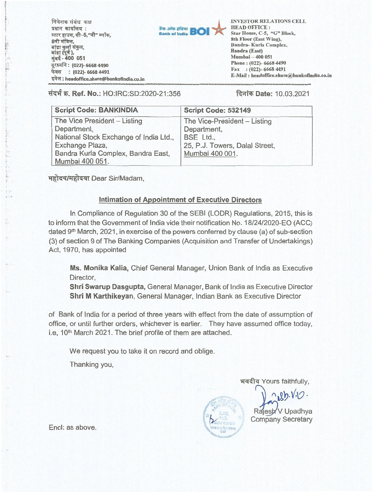$\overline{\mathsf{H}}$ वेशक संबंध प्रधान कार्यालय**:** स्टार हाउस, सी–5,"जी" <sup>;</sup><br>8वी मंजिल,<br>टांटा कर्ला संकल बांद्रा कुर्ला संकुल, बांद्रा कुलो सं<br>बांद्रा (पूर्व **),** बाद्रा कुला सकुल,<br>बाद्रा (पूर्व ),<br>मुंबई - <mark>400 051</mark> -<br>दूरध्वनि: (022)- 6668 4490 : (022)- 6668 4491 नुजब - -२००, ००१<br>दूरध्वनि : (022)- 6668 4490<br>फेक्स : (022)- 6668 4491<br>इमेल : headoffice.share@bankofindia.co.in 8वी मंजिल,



INVESTOR RELATIONS CELL INVESTOR RELATIONS CELL HEAD OFFICE : HEAD OFFICE : Star House, C-5, "G" Block, 8th Floor (East Wing), 8th Floor (East Wing), Sandra- Kurla Complex, Bandra- Kurla Complex, **Bandra (East)**  Bandra (East) **Mumbai —400 051**  Mumbai — 400 051 **Phone : (022)-** *6668 4490*  Phone : (022)- 6668 4490 Fax : (022)- 6668 4491 Fax : (022)- 6668 4491 E-Mail : headoffice.share@bankofindia.co.in

NNNN

 $\sim$   $\sim$   $\sim$ 

**tical mate: 10.03.2021 itClub Ref. No.: HO:IRC:SD:2020-21:356 a c d d d c d d c d c d c d c d c d c d c d c d c d c d c d c d c d c d c d c**

| <b>Script Code: BANKINDIA</b>          | Script Code: 532149            |
|----------------------------------------|--------------------------------|
| The Vice President - Listing           | The Vice-President - Listing   |
| Department,                            | Department,                    |
| National Stock Exchange of India Ltd., | BSE Ltd.,                      |
| Exchange Plaza,                        | 25, P.J. Towers, Dalal Street, |
| Bandra Kurla Complex, Bandra East,     | Mumbai 400 001.                |
| Mumbai 400 051.                        |                                |

महोदय/महोदया Dear Sir/Madam,

## **Intimation of Appointment of Executive Directors**  Intimation of Appointment of Executive Directors

In Compliance of Regulation 30 of the SEBI (LODR) Regulations, 2015, this is **In Compliance of Regulation 30 of the SEBI (LODR) Regulations, 2015, this is**  to inform that the Government of India vide their notification No. 1812412020-EO (ACC) **to inform that the Government of India vide their notification No. 1812412020-EO (ACC)**  dated 9th March, 2021, in exercise of the powers conferred by clause (a) of sub-section **dated 9th March, 2021, in exercise of the powers conferred by clause (a) of sub-section**  (3) of section 9 of The Banking Companies (Acquisition and Transfer of Undertakings) **(3) of section 9 of The Banking Companies (Acquisition and Transfer of Undertakings)**  Act, 1970, has appointed **Act, 1970, has appointed** 

**Ms. Monika Kalia,** Chief General Manager, Union Bank of India as Executive Ms. Monika Kalia, **Chief General Manager, Union Bank of India as Executive**  Director, **Director,** 

**Shri Swarup Dasgupta,** General Manager, Bank of India as Executive Director Shri Swarup Dasgupta, **General Manager, Bank of India as Executive Director Shri M Karthikeyan,** General Manager, Indian Bank as Executive Director Shri M Karthikeyan, **General Manager, Indian Bank as Executive Director** 

of Bank of India for a period of three years with effect from the date of assumption of **of Bank of India for a period of three years with effect from the date of assumption of**  office, or until further orders, whichever is earlier. They have assumed office today, **office, or until further orders, whichever is earlier. They have assumed office today,**  i.e, 10<sup>th</sup> March 2021. The brief profile of them are attached.

We request you to take it on record and oblige. **We request you to take it on record and oblige.** 

Thanking you, **Thanking you,** 

11-44t4 Yours faithfully, **1:1-4-41-zr Yours faithfully,**   $Rb. V.0$ **19. V**<br>**Rajesh** V Upadhya Company Secretary **Company Secretary** 

**Encl: as above. lovesic;** Relations